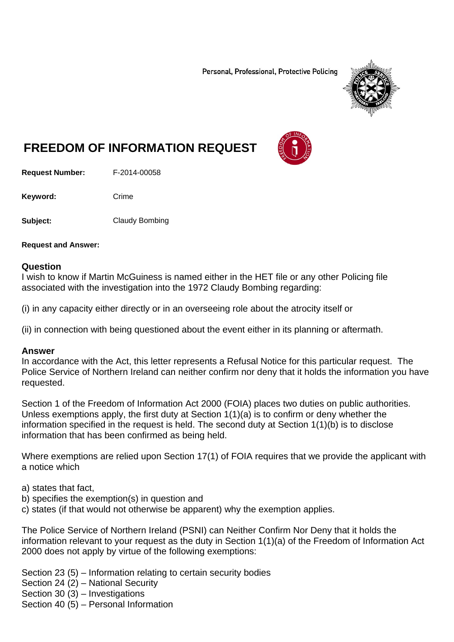Personal, Professional, Protective Policing



# **FREEDOM OF INFORMATION REQUEST**

**Request Number:** F-2014-00058

Keyword: Crime

**Subject:** Claudy Bombing

**Request and Answer:** 

#### **Question**

I wish to know if Martin McGuiness is named either in the HET file or any other Policing file associated with the investigation into the 1972 Claudy Bombing regarding:

(i) in any capacity either directly or in an overseeing role about the atrocity itself or

(ii) in connection with being questioned about the event either in its planning or aftermath.

#### **Answer**

In accordance with the Act, this letter represents a Refusal Notice for this particular request. The Police Service of Northern Ireland can neither confirm nor deny that it holds the information you have requested.

Section 1 of the Freedom of Information Act 2000 (FOIA) places two duties on public authorities. Unless exemptions apply, the first duty at Section 1(1)(a) is to confirm or deny whether the information specified in the request is held. The second duty at Section 1(1)(b) is to disclose information that has been confirmed as being held.

Where exemptions are relied upon Section 17(1) of FOIA requires that we provide the applicant with a notice which

a) states that fact,

- b) specifies the exemption(s) in question and
- c) states (if that would not otherwise be apparent) why the exemption applies.

The Police Service of Northern Ireland (PSNI) can Neither Confirm Nor Deny that it holds the information relevant to your request as the duty in Section 1(1)(a) of the Freedom of Information Act 2000 does not apply by virtue of the following exemptions:

Section 23 (5) – Information relating to certain security bodies

Section 24 (2) – National Security

Section 30 (3) – Investigations

Section 40 (5) – Personal Information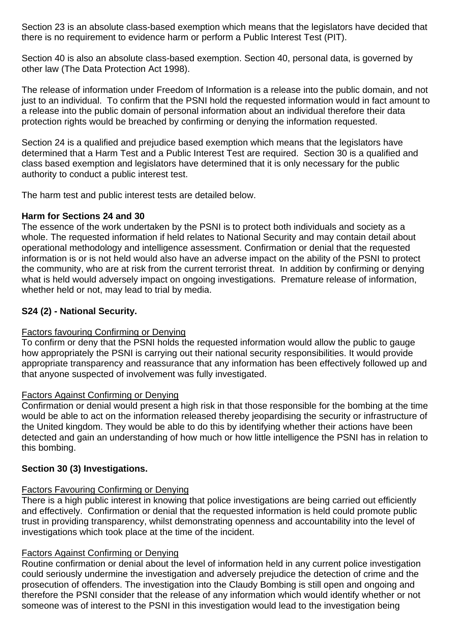Section 23 is an absolute class-based exemption which means that the legislators have decided that there is no requirement to evidence harm or perform a Public Interest Test (PIT).

Section 40 is also an absolute class-based exemption. Section 40, personal data, is governed by other law (The Data Protection Act 1998).

The release of information under Freedom of Information is a release into the public domain, and not just to an individual. To confirm that the PSNI hold the requested information would in fact amount to a release into the public domain of personal information about an individual therefore their data protection rights would be breached by confirming or denying the information requested.

Section 24 is a qualified and prejudice based exemption which means that the legislators have determined that a Harm Test and a Public Interest Test are required. Section 30 is a qualified and class based exemption and legislators have determined that it is only necessary for the public authority to conduct a public interest test.

The harm test and public interest tests are detailed below.

## **Harm for Sections 24 and 30**

The essence of the work undertaken by the PSNI is to protect both individuals and society as a whole. The requested information if held relates to National Security and may contain detail about operational methodology and intelligence assessment. Confirmation or denial that the requested information is or is not held would also have an adverse impact on the ability of the PSNI to protect the community, who are at risk from the current terrorist threat. In addition by confirming or denying what is held would adversely impact on ongoing investigations. Premature release of information, whether held or not, may lead to trial by media.

## **S24 (2) - National Security.**

## Factors favouring Confirming or Denying

To confirm or deny that the PSNI holds the requested information would allow the public to gauge how appropriately the PSNI is carrying out their national security responsibilities. It would provide appropriate transparency and reassurance that any information has been effectively followed up and that anyone suspected of involvement was fully investigated.

## Factors Against Confirming or Denying

Confirmation or denial would present a high risk in that those responsible for the bombing at the time would be able to act on the information released thereby jeopardising the security or infrastructure of the United kingdom. They would be able to do this by identifying whether their actions have been detected and gain an understanding of how much or how little intelligence the PSNI has in relation to this bombing.

## **Section 30 (3) Investigations.**

## Factors Favouring Confirming or Denying

There is a high public interest in knowing that police investigations are being carried out efficiently and effectively. Confirmation or denial that the requested information is held could promote public trust in providing transparency, whilst demonstrating openness and accountability into the level of investigations which took place at the time of the incident.

## Factors Against Confirming or Denying

Routine confirmation or denial about the level of information held in any current police investigation could seriously undermine the investigation and adversely prejudice the detection of crime and the prosecution of offenders. The investigation into the Claudy Bombing is still open and ongoing and therefore the PSNI consider that the release of any information which would identify whether or not someone was of interest to the PSNI in this investigation would lead to the investigation being